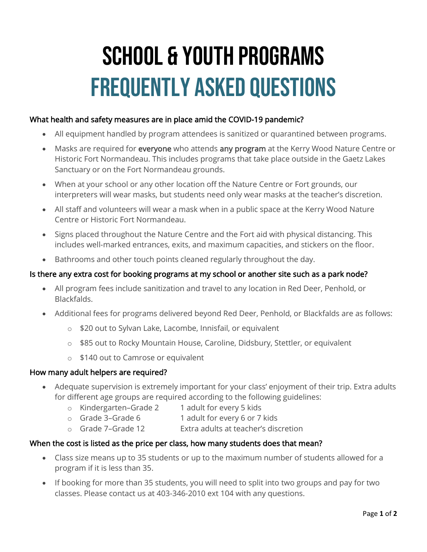# School & Youth Programs Frequently Asked Questions

## What health and safety measures are in place amid the COVID-19 pandemic?

- All equipment handled by program attendees is sanitized or quarantined between programs.
- Masks are required for everyone who attends any program at the Kerry Wood Nature Centre or Historic Fort Normandeau. This includes programs that take place outside in the Gaetz Lakes Sanctuary or on the Fort Normandeau grounds.
- When at your school or any other location off the Nature Centre or Fort grounds, our interpreters will wear masks, but students need only wear masks at the teacher's discretion.
- All staff and volunteers will wear a mask when in a public space at the Kerry Wood Nature Centre or Historic Fort Normandeau.
- Signs placed throughout the Nature Centre and the Fort aid with physical distancing. This includes well-marked entrances, exits, and maximum capacities, and stickers on the floor.
- Bathrooms and other touch points cleaned regularly throughout the day.

## Is there any extra cost for booking programs at my school or another site such as a park node?

- All program fees include sanitization and travel to any location in Red Deer, Penhold, or Blackfalds.
- Additional fees for programs delivered beyond Red Deer, Penhold, or Blackfalds are as follows:
	- o \$20 out to Sylvan Lake, Lacombe, Innisfail, or equivalent
	- o \$85 out to Rocky Mountain House, Caroline, Didsbury, Stettler, or equivalent
	- o \$140 out to Camrose or equivalent

### How many adult helpers are required?

- Adequate supervision is extremely important for your class' enjoyment of their trip. Extra adults for different age groups are required according to the following guidelines:
	- o Kindergarten–Grade 2 1 adult for every 5 kids
	- o Grade 3–Grade 6 1 adult for every 6 or 7 kids
	- o Grade 7–Grade 12 Extra adults at teacher's discretion

# When the cost is listed as the price per class, how many students does that mean?

- Class size means up to 35 students or up to the maximum number of students allowed for a program if it is less than 35.
- If booking for more than 35 students, you will need to split into two groups and pay for two classes. Please contact us at 403-346-2010 ext 104 with any questions.